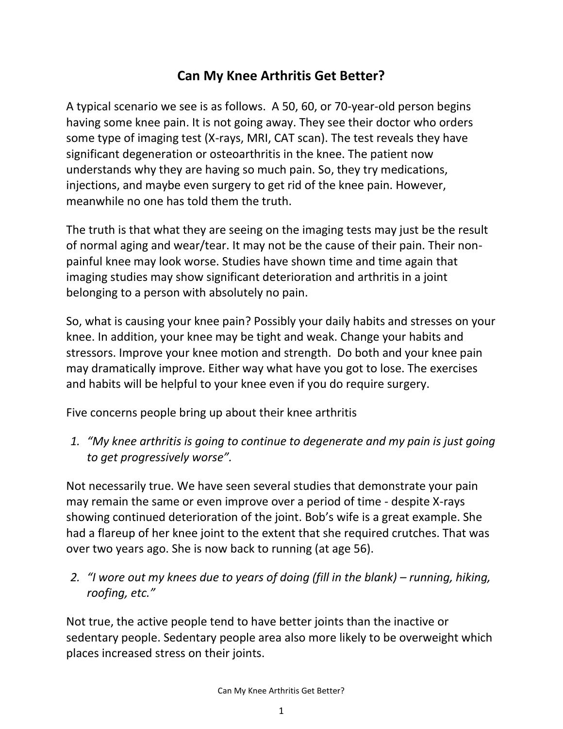## **Can My Knee Arthritis Get Better?**

A typical scenario we see is as follows. A 50, 60, or 70-year-old person begins having some knee pain. It is not going away. They see their doctor who orders some type of imaging test (X-rays, MRI, CAT scan). The test reveals they have significant degeneration or osteoarthritis in the knee. The patient now understands why they are having so much pain. So, they try medications, injections, and maybe even surgery to get rid of the knee pain. However, meanwhile no one has told them the truth.

The truth is that what they are seeing on the imaging tests may just be the result of normal aging and wear/tear. It may not be the cause of their pain. Their nonpainful knee may look worse. Studies have shown time and time again that imaging studies may show significant deterioration and arthritis in a joint belonging to a person with absolutely no pain.

So, what is causing your knee pain? Possibly your daily habits and stresses on your knee. In addition, your knee may be tight and weak. Change your habits and stressors. Improve your knee motion and strength. Do both and your knee pain may dramatically improve. Either way what have you got to lose. The exercises and habits will be helpful to your knee even if you do require surgery.

Five concerns people bring up about their knee arthritis

*1. "My knee arthritis is going to continue to degenerate and my pain is just going to get progressively worse".* 

Not necessarily true. We have seen several studies that demonstrate your pain may remain the same or even improve over a period of time - despite X-rays showing continued deterioration of the joint. Bob's wife is a great example. She had a flareup of her knee joint to the extent that she required crutches. That was over two years ago. She is now back to running (at age 56).

*2. "I wore out my knees due to years of doing (fill in the blank) – running, hiking, roofing, etc."*

Not true, the active people tend to have better joints than the inactive or sedentary people. Sedentary people area also more likely to be overweight which places increased stress on their joints.